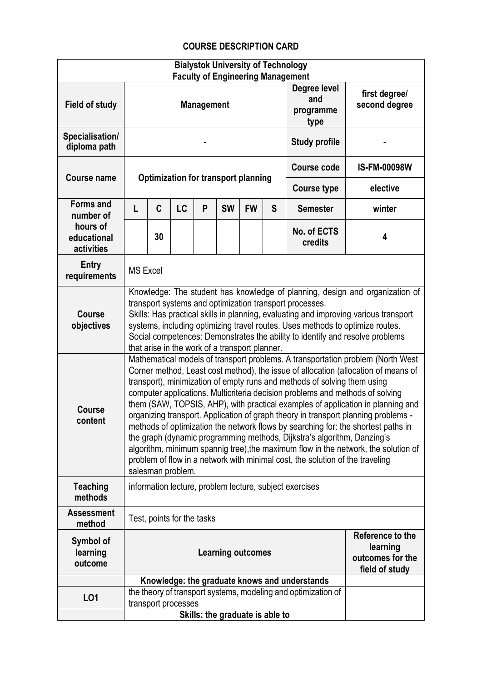## **COURSE DESCRIPTION CARD**

|                                       |                                                                                                                                                                                                                                                                                                                                                                                                                                                                                                                                                                                                                                                                                                                                                                                                                                                                         |                            |    |                   | <b>Bialystok University of Technology</b>                                                      |           |              | <b>Faculty of Engineering Management</b>                      |                                |
|---------------------------------------|-------------------------------------------------------------------------------------------------------------------------------------------------------------------------------------------------------------------------------------------------------------------------------------------------------------------------------------------------------------------------------------------------------------------------------------------------------------------------------------------------------------------------------------------------------------------------------------------------------------------------------------------------------------------------------------------------------------------------------------------------------------------------------------------------------------------------------------------------------------------------|----------------------------|----|-------------------|------------------------------------------------------------------------------------------------|-----------|--------------|---------------------------------------------------------------|--------------------------------|
| <b>Field of study</b>                 |                                                                                                                                                                                                                                                                                                                                                                                                                                                                                                                                                                                                                                                                                                                                                                                                                                                                         |                            |    | <b>Management</b> |                                                                                                |           |              | Degree level<br>and<br>programme<br>type                      | first degree/<br>second degree |
| Specialisation/<br>diploma path       |                                                                                                                                                                                                                                                                                                                                                                                                                                                                                                                                                                                                                                                                                                                                                                                                                                                                         |                            |    |                   |                                                                                                |           |              | <b>Study profile</b>                                          |                                |
| <b>Course name</b>                    | <b>Course code</b><br><b>Optimization for transport planning</b><br><b>Course type</b>                                                                                                                                                                                                                                                                                                                                                                                                                                                                                                                                                                                                                                                                                                                                                                                  |                            |    |                   |                                                                                                |           |              | <b>IS-FM-00098W</b>                                           |                                |
|                                       |                                                                                                                                                                                                                                                                                                                                                                                                                                                                                                                                                                                                                                                                                                                                                                                                                                                                         |                            |    |                   |                                                                                                |           |              |                                                               | elective                       |
| <b>Forms and</b><br>number of         | L                                                                                                                                                                                                                                                                                                                                                                                                                                                                                                                                                                                                                                                                                                                                                                                                                                                                       | C                          | LC | P                 | <b>SW</b>                                                                                      | <b>FW</b> | $\mathsf{S}$ | <b>Semester</b>                                               | winter                         |
| hours of<br>educational<br>activities |                                                                                                                                                                                                                                                                                                                                                                                                                                                                                                                                                                                                                                                                                                                                                                                                                                                                         | 30                         |    |                   |                                                                                                |           |              | No. of ECTS<br>credits                                        | 4                              |
| Entry<br>requirements                 | <b>MS Excel</b>                                                                                                                                                                                                                                                                                                                                                                                                                                                                                                                                                                                                                                                                                                                                                                                                                                                         |                            |    |                   |                                                                                                |           |              |                                                               |                                |
| <b>Course</b><br>objectives           | Knowledge: The student has knowledge of planning, design and organization of<br>transport systems and optimization transport processes.<br>Skills: Has practical skills in planning, evaluating and improving various transport<br>systems, including optimizing travel routes. Uses methods to optimize routes.<br>Social competences: Demonstrates the ability to identify and resolve problems<br>that arise in the work of a transport planner.                                                                                                                                                                                                                                                                                                                                                                                                                     |                            |    |                   |                                                                                                |           |              |                                                               |                                |
| <b>Course</b><br>content              | Mathematical models of transport problems. A transportation problem (North West<br>Corner method, Least cost method), the issue of allocation (allocation of means of<br>transport), minimization of empty runs and methods of solving them using<br>computer applications. Multicriteria decision problems and methods of solving<br>them (SAW, TOPSIS, AHP), with practical examples of application in planning and<br>organizing transport. Application of graph theory in transport planning problems -<br>methods of optimization the network flows by searching for: the shortest paths in<br>the graph (dynamic programming methods, Dijkstra's algorithm, Danzing's<br>algorithm, minimum spannig tree), the maximum flow in the network, the solution of<br>problem of flow in a network with minimal cost, the solution of the traveling<br>salesman problem. |                            |    |                   |                                                                                                |           |              |                                                               |                                |
| <b>Teaching</b><br>methods            | information lecture, problem lecture, subject exercises                                                                                                                                                                                                                                                                                                                                                                                                                                                                                                                                                                                                                                                                                                                                                                                                                 |                            |    |                   |                                                                                                |           |              |                                                               |                                |
| <b>Assessment</b><br>method           |                                                                                                                                                                                                                                                                                                                                                                                                                                                                                                                                                                                                                                                                                                                                                                                                                                                                         | Test, points for the tasks |    |                   |                                                                                                |           |              |                                                               |                                |
| Symbol of<br>learning<br>outcome      |                                                                                                                                                                                                                                                                                                                                                                                                                                                                                                                                                                                                                                                                                                                                                                                                                                                                         |                            |    |                   | Reference to the<br>learning<br><b>Learning outcomes</b><br>outcomes for the<br>field of study |           |              |                                                               |                                |
|                                       |                                                                                                                                                                                                                                                                                                                                                                                                                                                                                                                                                                                                                                                                                                                                                                                                                                                                         |                            |    |                   |                                                                                                |           |              | Knowledge: the graduate knows and understands                 |                                |
| L01                                   |                                                                                                                                                                                                                                                                                                                                                                                                                                                                                                                                                                                                                                                                                                                                                                                                                                                                         |                            |    |                   |                                                                                                |           |              | the theory of transport systems, modeling and optimization of |                                |
|                                       |                                                                                                                                                                                                                                                                                                                                                                                                                                                                                                                                                                                                                                                                                                                                                                                                                                                                         | transport processes        |    |                   |                                                                                                |           |              |                                                               |                                |
|                                       |                                                                                                                                                                                                                                                                                                                                                                                                                                                                                                                                                                                                                                                                                                                                                                                                                                                                         |                            |    |                   | Skills: the graduate is able to                                                                |           |              |                                                               |                                |